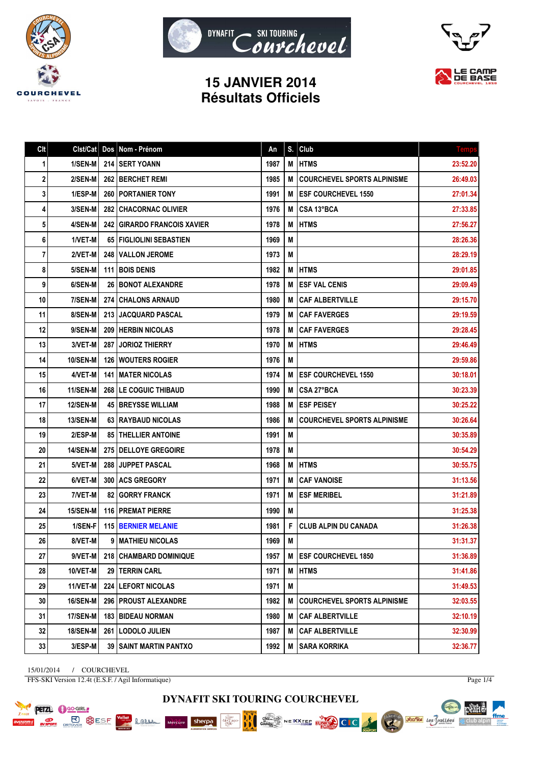





## **15 JANVIER 2014 Résultats Officiels**

| Cl <sub>t</sub> | Clst/Cat        | Dos   | Nom - Prénom                   | An   | S. | Club                               | <b>Temps</b> |
|-----------------|-----------------|-------|--------------------------------|------|----|------------------------------------|--------------|
| 1               | 1/SEN-M         |       | <b>214 ISERT YOANN</b>         | 1987 | M  | <b>HTMS</b>                        | 23:52.20     |
| 2               | 2/SEN-M         |       | <b>262   BERCHET REMI</b>      | 1985 | M  | <b>COURCHEVEL SPORTS ALPINISME</b> | 26:49.03     |
| 3               | 1/ESP-M         |       | 260   PORTANIER TONY           | 1991 | M  | <b>ESF COURCHEVEL 1550</b>         | 27:01.34     |
| 4               | 3/SEN-M         |       | <b>282 CHACORNAC OLIVIER</b>   | 1976 | M  | CSA 13°BCA                         | 27:33.85     |
| 5               | 4/SEN-M         | 242   | <b>GIRARDO FRANCOIS XAVIER</b> | 1978 | М  | <b>HTMS</b>                        | 27:56.27     |
| 6               | 1/VET-M         |       | 65   FIGLIOLINI SEBASTIEN      | 1969 | M  |                                    | 28:26.36     |
| 7               | 2/VET-M         |       | <b>248 IVALLON JEROME</b>      | 1973 | М  |                                    | 28:29.19     |
| 8               | 5/SEN-M         |       | <b>111 BOIS DENIS</b>          | 1982 | M  | <b>HTMS</b>                        | 29:01.85     |
| 9               | 6/SEN-M         |       | <b>26   BONOT ALEXANDRE</b>    | 1978 | M  | <b>ESF VAL CENIS</b>               | 29:09.49     |
| 10              | 7/SEN-M         |       | <b>274 CHALONS ARNAUD</b>      | 1980 | M  | <b>CAF ALBERTVILLE</b>             | 29:15.70     |
| 11              | 8/SEN-M         |       | 213 JACQUARD PASCAL            | 1979 | M  | <b>CAF FAVERGES</b>                | 29:19.59     |
| 12              | 9/SEN-M         |       | <b>209 HERBIN NICOLAS</b>      | 1978 | M  | <b>CAF FAVERGES</b>                | 29:28.45     |
| 13              | 3/VET-M         | 287 I | <b>JORIOZ THIERRY</b>          | 1970 | M  | <b>HTMS</b>                        | 29:46.49     |
| 14              | <b>10/SEN-M</b> |       | <b>126 WOUTERS ROGIER</b>      | 1976 | М  |                                    | 29:59.86     |
| 15              | 4/VET-M         |       | <b>141   MATER NICOLAS</b>     | 1974 | м  | <b>ESF COURCHEVEL 1550</b>         | 30:18.01     |
| 16              | 11/SEN-M        |       | 268   LE COGUIC THIBAUD        | 1990 | M  | CSA 27°BCA                         | 30:23.39     |
| 17              | <b>12/SEN-M</b> |       | <b>45 BREYSSE WILLIAM</b>      | 1988 | M  | <b>ESF PEISEY</b>                  | 30:25.22     |
| 18              | <b>13/SEN-M</b> |       | 63 RAYBAUD NICOLAS             | 1986 | M  | <b>COURCHEVEL SPORTS ALPINISME</b> | 30:26.64     |
| 19              | 2/ESP-M         |       | <b>85   THELLIER ANTOINE</b>   | 1991 | M  |                                    | 30:35.89     |
| 20              | 14/SEN-M        |       | 275   DELLOYE GREGOIRE         | 1978 | М  |                                    | 30:54.29     |
| 21              | 5/VET-M         |       | 288 JUPPET PASCAL              | 1968 | M  | <b>HTMS</b>                        | 30:55.75     |
| 22              | 6/VET-M         |       | 300   ACS GREGORY              | 1971 | М  | <b>CAF VANOISE</b>                 | 31:13.56     |
| 23              | 7/VET-M         |       | <b>82 GORRY FRANCK</b>         | 1971 | M  | <b>ESF MERIBEL</b>                 | 31:21.89     |
| 24              | 15/SEN-M        |       | <b>116 PREMAT PIERRE</b>       | 1990 | M  |                                    | 31:25.38     |
| 25              | 1/SEN-F         |       | <b>115 BERNIER MELANIE</b>     | 1981 | F  | <b>CLUB ALPIN DU CANADA</b>        | 31:26.38     |
| 26              | 8/VET-M         | 9     | I MATHIEU NICOLAS              | 1969 | M  |                                    | 31:31.37     |
| $27\,$          | 9/VET-M         |       | 218   CHAMBARD DOMINIQUE       | 1957 |    | M ESF COURCHEVEL 1850              | 31:36.89     |
| 28              | 10/VET-M        |       | 29 TERRIN CARL                 | 1971 | M  | <b>HTMS</b>                        | 31:41.86     |
| 29              | 11/VET-M        |       | 224 LEFORT NICOLAS             | 1971 | M  |                                    | 31:49.53     |
| 30              | 16/SEN-M        |       | 296   PROUST ALEXANDRE         | 1982 | M  | <b>COURCHEVEL SPORTS ALPINISME</b> | 32:03.55     |
| 31              | 17/SEN-M        |       | 183 BIDEAU NORMAN              | 1980 | M  | <b>CAF ALBERTVILLE</b>             | 32:10.19     |
| 32              | <b>18/SEN-M</b> |       | 261   LODOLO JULIEN            | 1987 | M  | <b>CAF ALBERTVILLE</b>             | 32:30.99     |
| 33              | 3/ESP-M         |       | 39   SAINT MARTIN PANTXO       | 1992 | M  | <b>SARA KORRIKA</b>                | 32:36.77     |

15/01/2014 / COURCHEVEL FFS-SKI Version 12.4t (E.S.F. / Agil Informatique)

Lamen

Mercure sherpa

**PETZL C** GO-GIRL **PLACE BUDGESE**  Page 1/4

pearts.

 $\mathbb{A}$  club alpin

ffme

**Société des Vallées** 

**DYNAFIT SKI TOURING COURCHEVEL**

chez...<br>Gaulots

NEXXTEE EUROPE CLC

**BBC** 

AME GRAND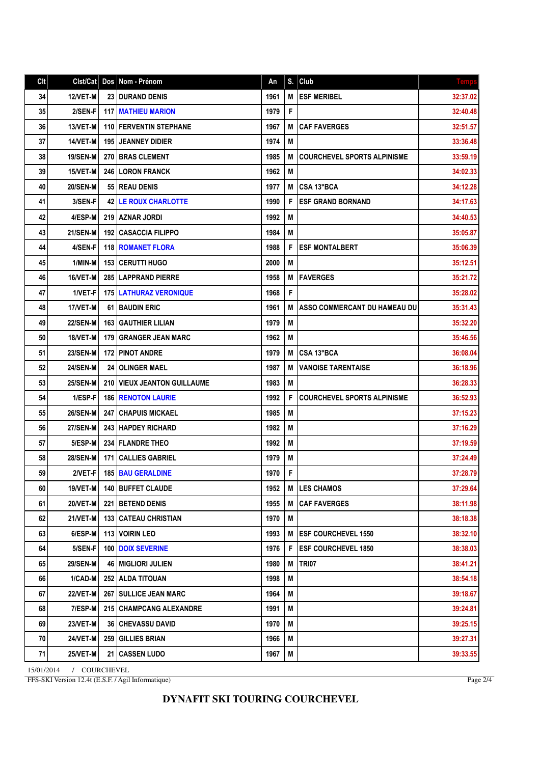| Cl <sub>t</sub> |                 |     | Cist/Cat   Dos   Nom - Prénom    | An   | S. | Club                                | <b>Temps</b> |
|-----------------|-----------------|-----|----------------------------------|------|----|-------------------------------------|--------------|
| 34              | <b>12/VET-M</b> |     | <b>23 I DURAND DENIS</b>         | 1961 | M  | <b>ESF MERIBEL</b>                  | 32:37.02     |
| 35              | 2/SEN-F         |     | <b>117   MATHIEU MARION</b>      | 1979 | F  |                                     | 32:40.48     |
| 36              | 13/VET-M        |     | <b>110   FERVENTIN STEPHANE</b>  | 1967 | М  | <b>CAF FAVERGES</b>                 | 32:51.57     |
| 37              | 14/VET-M        |     | <b>195 I JEANNEY DIDIER</b>      | 1974 | M  |                                     | 33:36.48     |
| 38              | <b>19/SEN-M</b> | 270 | <b>BRAS CLEMENT</b>              | 1985 | M  | <b>COURCHEVEL SPORTS ALPINISME</b>  | 33:59.19     |
| 39              | 15/VET-M        |     | <b>246 LORON FRANCK</b>          | 1962 | M  |                                     | 34:02.33     |
| 40              | <b>20/SEN-M</b> |     | 55 REAU DENIS                    | 1977 | М  | CSA 13°BCA                          | 34:12.28     |
| 41              | 3/SEN-F         |     | <b>42 LE ROUX CHARLOTTE</b>      | 1990 | F  | <b>ESF GRAND BORNAND</b>            | 34:17.63     |
| 42              | 4/ESP-M         |     | 219   AZNAR JORDI                | 1992 | M  |                                     | 34:40.53     |
| 43              | 21/SEN-M        | 192 | CASACCIA FILIPPO                 | 1984 | М  |                                     | 35:05.87     |
| 44              | 4/SEN-F         |     | <b>118   ROMANET FLORA</b>       | 1988 | F  | <b>ESF MONTALBERT</b>               | 35:06.39     |
| 45              | 1/MIN-M         | 153 | CERUTTI HUGO                     | 2000 | M  |                                     | 35:12.51     |
| 46              | 16/VET-M        | 285 | LAPPRAND PIERRE                  | 1958 | М  | <b>FAVERGES</b>                     | 35:21.72     |
| 47              | 1/VET-F         |     | <b>175   LATHURAZ VERONIQUE</b>  | 1968 | F  |                                     | 35:28.02     |
| 48              | 17/VET-M        |     | <b>61 BAUDIN ERIC</b>            | 1961 | М  | <b>ASSO COMMERCANT DU HAMEAU DU</b> | 35:31.43     |
| 49              | <b>22/SEN-M</b> | 163 | <b>GAUTHIER LILIAN</b>           | 1979 | M  |                                     | 35:32.20     |
| 50              | 18/VET-M        | 179 | <b>GRANGER JEAN MARC</b>         | 1962 | M  |                                     | 35:46.56     |
| 51              | <b>23/SEN-M</b> | 172 | <b>I PINOT ANDRE</b>             | 1979 | M  | CSA 13°BCA                          | 36:08.04     |
| 52              | <b>24/SEN-M</b> | 24  | <b>OLINGER MAEL</b>              | 1987 | М  | <b>VANOISE TARENTAISE</b>           | 36:18.96     |
| 53              | <b>25/SEN-M</b> |     | 210   VIEUX JEANTON GUILLAUME    | 1983 | M  |                                     | 36:28.33     |
| 54              | 1/ESP-F         |     | <b>186   RENOTON LAURIE</b>      | 1992 | F  | <b>COURCHEVEL SPORTS ALPINISME</b>  | 36:52.93     |
| 55              | <b>26/SEN-M</b> | 247 | CHAPUIS MICKAEL                  | 1985 | M  |                                     | 37:15.23     |
| 56              | <b>27/SEN-M</b> |     | 243 HAPDEY RICHARD               | 1982 | M  |                                     | 37:16.29     |
| 57              | 5/ESP-M         |     | 234   FLANDRE THEO               | 1992 | M  |                                     | 37:19.59     |
| 58              | <b>28/SEN-M</b> | 171 | <b>CALLIES GABRIEL</b>           | 1979 | M  |                                     | 37:24.49     |
| 59              | 2/VET-F         |     | <b>185 BAU GERALDINE</b>         | 1970 | F  |                                     | 37:28.79     |
| 60              | 19/VET-M        |     | 140 BUFFET CLAUDE                | 1952 | М  | <b>LES CHAMOS</b>                   | 37:29.64     |
| 61              | 20/VET-M        |     | 221   BETEND DENIS               | 1955 | M  | <b>CAF FAVERGES</b>                 | 38:11.98     |
| 62              | 21/VET-M        |     | <b>133 CATEAU CHRISTIAN</b>      | 1970 | M  |                                     | 38:18.38     |
| 63              | 6/ESP-M         |     | <b>113 VOIRIN LEO</b>            | 1993 | M  | <b>ESF COURCHEVEL 1550</b>          | 38:32.10     |
| 64              | 5/SEN-F         |     | 100 DOIX SEVERINE                | 1976 | F  | <b>ESF COURCHEVEL 1850</b>          | 38:38.03     |
| 65              | <b>29/SEN-M</b> |     | <b>46   MIGLIORI JULIEN</b>      | 1980 | М  | <b>TRI07</b>                        | 38:41.21     |
| 66              | 1/CAD-M         |     | 252 ALDA TITOUAN                 | 1998 | M  |                                     | 38:54.18     |
| 67              | 22/VET-M        |     | 267 SULLICE JEAN MARC            | 1964 | M  |                                     | 39:18.67     |
| 68              | 7/ESP-M         |     | <b>215   CHAMPCANG ALEXANDRE</b> | 1991 | Μ  |                                     | 39:24.81     |
| 69              | 23/VET-M        |     | <b>36 CHEVASSU DAVID</b>         | 1970 | M  |                                     | 39:25.15     |
| 70              | <b>24/VET-M</b> |     | 259 GILLIES BRIAN                | 1966 | M  |                                     | 39:27.31     |
| 71              | 25/VET-M        | 21  | <b>CASSEN LUDO</b>               | 1967 | M  |                                     | 39:33.55     |

15/01/2014 / COURCHEVEL FFS-SKI Version 12.4t (E.S.F. / Agil Informatique)

Page 2/4

## **DYNAFIT SKI TOURING COURCHEVEL**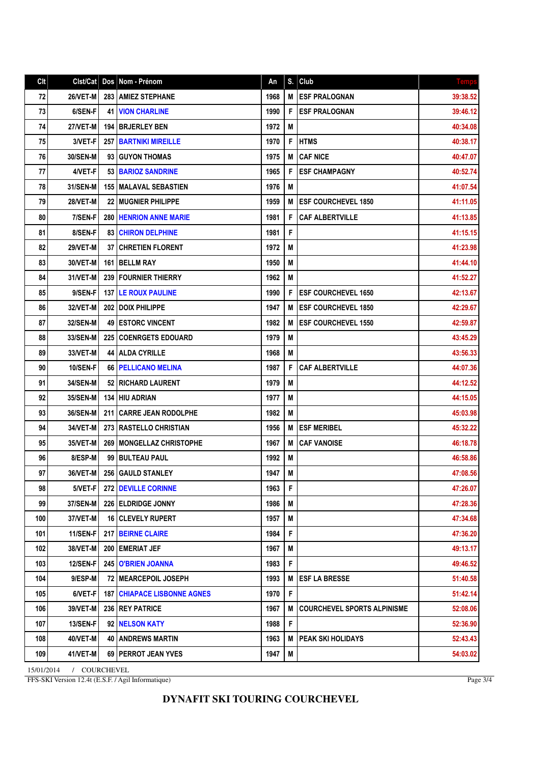## Clt Clst/Cat Dos Nom - Prénom An S. Club 72 26/VET-M 283 AMIEZ STEPHANE 1968 M ESF PRALOGNAN 39:38.52 73 6/SEN-F 41 VION CHARLINE 1990 F ESF PRALOGNAN 6/SEN-F 41 VION CHARLINE 74 27/VET-M 194 BRJERLEY BEN 1972 M 40:34.08 75 3/VET-F 257 BARTNIKI MIREILLE 1970 F HTMS 1970 1971 1970 175 40:38.17 76 30/SEN-M 93 GUYON THOMAS 1975 M CAF NICE 1975 M CAF NICE 77 4/VET-F 53 BARIOZ SANDRINE 1965 F ESF CHAMPAGNY 40:52.74 78 31/SEN-M | 155 MALAVAL SEBASTIEN | 1976 | M | 1976 | M | 1976 | M | 11:07.54 79 28/VET-M 22 MUGNIER PHILIPPE 1959 M ESF COURCHEVEL 1850 41:11.05 80 7/SEN-F 280 HENRION ANNE MARIE 1981 F CAF ALBERTVILLE 1981 F 1981 41:13.85 81 8/SEN-F 83 CHIRON DELPHINE 1981 F 1981 F 41:15.15 82 29/VET-M 37 CHRETIEN FLORENT 1972 M 41:23.98 83 30/VET-M 161 BELLM RAY 1950 M 41:44.10 84 31/VET-M 239 FOURNIER THIERRY 1962 M 41:52.27 85 9/SEN-F 137 LE ROUX PAULINE 1990 F ESF COURCHEVEL 1650 1990 | 42:13.67 86 32/VET-M 202 DOIX PHILIPPE 1947 M ESF COURCHEVEL 1850 2000 1947 M 87 32/SEN-M 49 ESTORC VINCENT 1982 M 382 M ESF COURCHEVEL 1550 88 33/SEN-M 225 COENRGETS EDOUARD 1979 M 43:45.29 43:45.29 89 33/VET-M 44 ALDA CYRILLE 1968 M 43:56.33 90 | 10/SEN-F 66 PELLICANO MELINA | 1987 | F CAF ALBERTVILLE | 44:07.36 91 34/SEN-M 52 RICHARD LAURENT 1979 M 44:12.52 92 35/SEN-M 134 HIU ADRIAN 198 1977 M 44:15.05 93 36/SEN-M 211 CARRE JEAN RODOLPHE 1982 M 45:03.98 94 34/VET-M 273 RASTELLO CHRISTIAN 1956 M ESF MERIBEL 45:32.22 95 35/VET-M 269 MONGELLAZ CHRISTOPHE 1967 M CAF VANOISE 1967 M CAF VANOISE 96 8/ESP-M 99 BULTEAU PAUL 1992 M 46:58.86 97 36/VET-M 256 GAULD STANLEY 1947 M A 47:08.56 47:08.56 98 5/VET-F 272 DEVILLE CORINNE 1963 F 2006 1963 1964 1963 1971 19647:26.07 99 37/SEN-M 226 ELDRIDGE JONNY 1986 M 47:28.36 AM 47:28.36 100 37/VET-M 16 CLEVELY RUPERT 1957 M 37/VET-M 47:34.68 101 11/SEN-F 217 BEIRNE CLAIRE 1984 F 36.20 1984 F 47:36.20 102 38/VET-M 200 EMERIAT JEF 1967 M 49:13.17 103 12/SEN-F 245 O'BRIEN JOANNA 1983 F 49:46.52 104 9/ESP-M 72 MEARCEPOIL JOSEPH 1993 M ESF LA BRESSE 51:40.58 105 6/VET-F 187 CHIAPACE LISBONNE AGNES 1970 F 1970 F S1:42.14 106 39/VET-M 236 REY PATRICE 1967 M COURCHEVEL SPORTS ALPINISME 1967 107 | 13/SEN-F | 92 | NELSON KATY | 1988 | F | 1988 | F | 52:36.90 | 52:36.90 | 52:36.90 | 52:36.90 | 52:36.90 108 40/VET-M 40 ANDREWS MARTIN 1963 M PEAK SKI HOLIDAYS 1963 M PEAK SKI HOLIDAYS 109 41/VET-M 69 PERROT JEAN YVES 1947 M 54:03.02

15/01/2014 / COURCHEVEL FFS-SKI Version 12.4t (E.S.F. / Agil Informatique)

Page 3/4

## **DYNAFIT SKI TOURING COURCHEVEL**